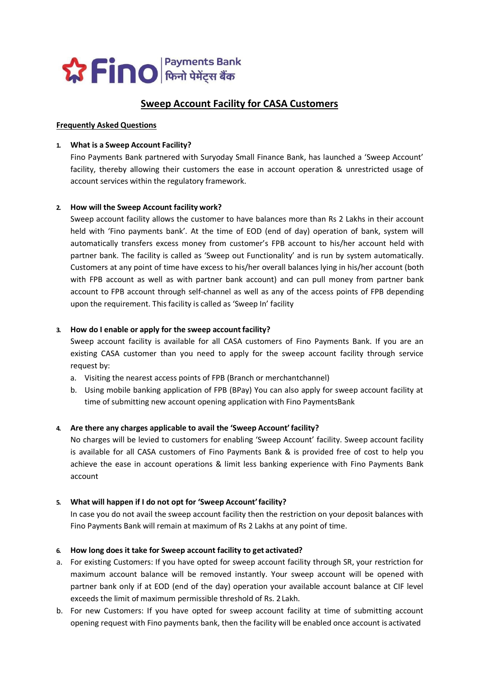

# Sweep Account Facility for CASA Customers

#### Frequently Asked Questions

#### 1. What is a Sweep Account Facility?

Fino Payments Bank partnered with Suryoday Small Finance Bank, has launched a 'Sweep Account' facility, thereby allowing their customers the ease in account operation & unrestricted usage of account services within the regulatory framework.

#### 2. How will the Sweep Account facility work?

Sweep account facility allows the customer to have balances more than Rs 2 Lakhs in their account held with 'Fino payments bank'. At the time of EOD (end of day) operation of bank, system will automatically transfers excess money from customer's FPB account to his/her account held with partner bank. The facility is called as 'Sweep out Functionality' and is run by system automatically. Customers at any point of time have excess to his/her overall balances lying in his/her account (both with FPB account as well as with partner bank account) and can pull money from partner bank account to FPB account through self-channel as well as any of the access points of FPB depending upon the requirement. This facility is called as 'Sweep In' facility

#### 3. How do I enable or apply for the sweep account facility?

Sweep account facility is available for all CASA customers of Fino Payments Bank. If you are an existing CASA customer than you need to apply for the sweep account facility through service request by:

- a. Visiting the nearest access points of FPB (Branch or merchantchannel)
- b. Using mobile banking application of FPB (BPay) You can also apply for sweep account facility at time of submitting new account opening application with Fino PaymentsBank

#### 4. Are there any charges applicable to avail the 'Sweep Account' facility?

No charges will be levied to customers for enabling 'Sweep Account' facility. Sweep account facility is available for all CASA customers of Fino Payments Bank & is provided free of cost to help you achieve the ease in account operations & limit less banking experience with Fino Payments Bank account

#### 5. What will happen if I do not opt for 'Sweep Account' facility?

In case you do not avail the sweep account facility then the restriction on your deposit balances with Fino Payments Bank will remain at maximum of Rs 2 Lakhs at any point of time.

#### 6. How long does it take for Sweep account facility to get activated?

- a. For existing Customers: If you have opted for sweep account facility through SR, your restriction for maximum account balance will be removed instantly. Your sweep account will be opened with partner bank only if at EOD (end of the day) operation your available account balance at CIF level exceeds the limit of maximum permissible threshold of Rs. 2 Lakh.
- b. For new Customers: If you have opted for sweep account facility at time of submitting account opening request with Fino payments bank, then the facility will be enabled once account is activated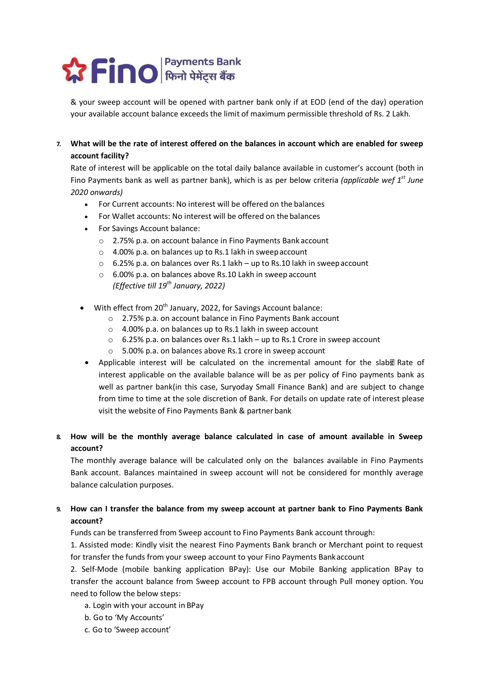

& your sweep account will be opened with partner bank only if at EOD (end of the day) operation & your sweep account will be opened with partner bank only if at EOD (end of the day) operation & your sweep account will be opened with partner bank only if at EOD (end of the day) operation<br>your available account balance exceeds the limit of maximum permissible threshold of Rs. 2 Lakh.

### 7. What will be the rate of interest offered on the balances in account which are enabled for sweep be balances What will be the rate of interest offered on the balances in account which are enabled for sweep account facility?

Rate of interest will be applicable on the total daily balance available in customer's account (both in Fino Payments bank as well as partner bank), which is as per below criteria (applicable wef 1<sup>st</sup> June 2020 onwards)

- For Current accounts: No interest will be offered on the balances
- For Wallet accounts: No interest will be offered on the balances
- For Savings Account balance:
	- $\circ$  2.75% p.a. on account balance in Fino Payments Bank account
	- $\circ$  4.00% p.a. on balances up to Rs.1 lakh in sweep account
	- 6.25% p.a. on balances over Rs.1 lakh up to Rs.10 lakh in sweep account
	- $\circ$  6.00% p.a. on balances above Rs.10 Lakh in sweep account (Effective till 19<sup>th</sup> January, 2022)
- $\bullet$  With effect from 20<sup>th</sup> January, 2022, for Savings Account balance:
	- o 2.75% p.a. on account balance in Fino Payments Bank account 2.75% p.a. on account balance in Fino Payments Bank account
	- o 4.00% p.a. on balances up to Rs.1 lakh in sweep account
	- 2.75% p.a. on account balance in Fino Payments Bank account<br>○ 4.00% p.a. on balances up to Rs.1 lakh in sweep account<br>○ 6.25% p.a. on balances over Rs.1 lakh up to Rs.1 Crore in sweep account
	- $\circ$  5.00% p.a. on balances above Rs.1 crore in sweep account
- Applicable interest will be calculated on the incremental amount for the slab& Rate of interest applicable on the available balance will be as per policy of Fino payments bank as interest applicable on the available balance will be as per policy of Fino payments bank as well as partner bank(in this case, Suryoday Small Finance Bank) and are subject to change from time to time at the sole discretion of Bank. For details on update rate of interest please from time to time at the sole discretion of Bank. For details on update rate of interest please visit the website of Fino Payments Bank & partner bank est applicable on the available balance will be as per policy<br>as partner bank(in this case, Suryoday Small Finance Bank)<br>time to time at the sole discretion of Bank. For details on up<br>he website of Fino Payments Bank & par well as partner bank(in this case, Suryoday Small Finance Bank) and are subject to change

### 8. How will be the monthly average balance calculated in case of amount available in Sweep account?

The monthly average balance will be calculated only on the balances available in Fino Payments Bank account. Balances maintained in sweep account will not be considered for monthly average balance calculation purposes.

## 9. How can I transfer the balance from my sweep account at partner bank to Fino Payments Bank account?

Funds can be transferred from Sweep account to Fino Payments Bank account through:

1. Assisted mode: Kindly visit the nearest Fino Payments Bank branch or Merchant point to request Assisted mode: Kindly visit the nearest Fino Payments Bank branch or Merchant point to request 1. Assisted mode: Kindly visit the nearest Fino Payments Bank branch or Merchant point to request<br>for transfer the funds from your sweep account to your Fino Payments Bankaccount

2. Self-Mode (mobile banking application BPay): Use our Mobile Banking application BPay to transfer the account balance from Sweep account to FPB account through Pull money option. You<br>need to follow the below steps:<br>a. Login with your account in BPay need to follow the below steps:

- a. Login with your account
- b. Go to 'My Accounts'
- c. Go to 'Sweep account'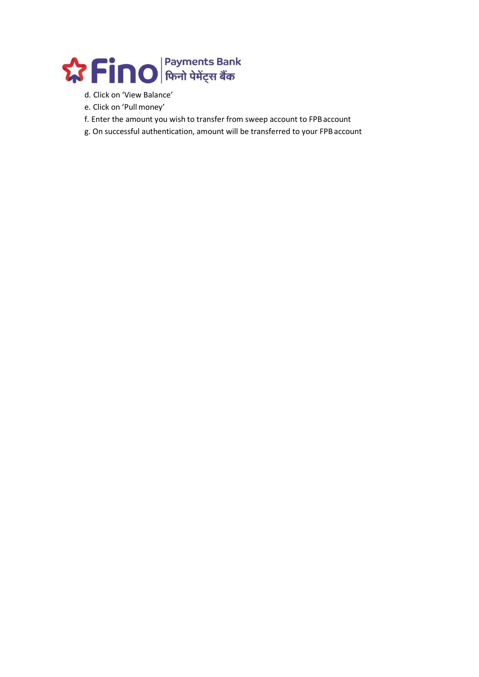

- d. Click on 'View Balance'
- e. Click on 'Pull money'
- f. Enter the amount you wish to transfer from sweep account to FPB account
- g. On successful authentication, amount will be transferred to your FPB account